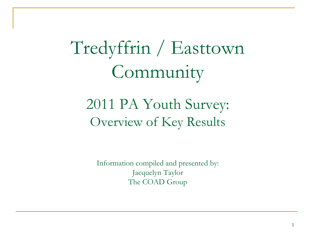Tredyffrin / Easttown Community

# 2011 PA Youth Survey: Overview of Key Results

Information compiled and presented by: Jacquelyn Taylor The COAD Group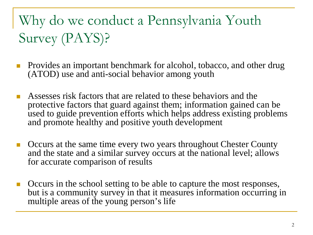# Why do we conduct a Pennsylvania Youth Survey (PAYS)?

- Provides an important benchmark for alcohol, tobacco, and other drug (ATOD) use and anti-social behavior among youth
- Assesses risk factors that are related to these behaviors and the protective factors that guard against them; information gained can be used to guide prevention efforts which helps address existing problems and promote healthy and positive youth development
- Occurs at the same time every two years throughout Chester County and the state and a similar survey occurs at the national level; allows for accurate comparison of results
- Occurs in the school setting to be able to capture the most responses, but is a community survey in that it measures information occurring in multiple areas of the young person's life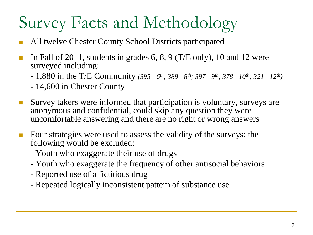# Survey Facts and Methodology

- All twelve Chester County School Districts participated
- In Fall of 2011, students in grades 6, 8, 9 (T/E only), 10 and 12 were surveyed including:
	- 1,880 in the T/E Community *(395 - 6th; 389 - 8th; 397 - 9th; 378 - 10th; 321 - 12th)*
	- 14,600 in Chester County
- Survey takers were informed that participation is voluntary, surveys are anonymous and confidential, could skip any question they were uncomfortable answering and there are no right or wrong answers
- **Four strategies were used to assess the validity of the surveys; the** following would be excluded:
	- Youth who exaggerate their use of drugs
	- Youth who exaggerate the frequency of other antisocial behaviors
	- Reported use of a fictitious drug
	- Repeated logically inconsistent pattern of substance use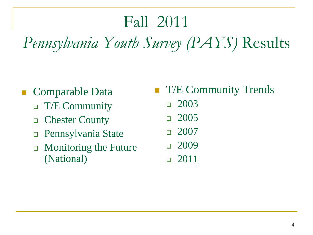# Fall 2011 *Pennsylvania Youth Survey (PAYS)* Results

- Comparable Data
	- $\Box$  T/E Community
	- □ Chester County
	- Pennsylvania State
	- $\Box$  Monitoring the Future (National)
- **T** T/E Community Trends
	- 2003
	- 2005
	- 2007
	- $-2009$
	- 2011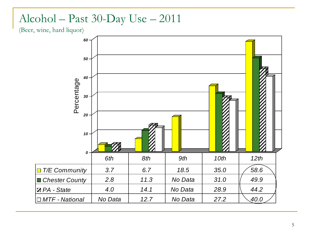#### Alcohol – Past 30-Day Use – 2011

(Beer, wine, hard liquor)

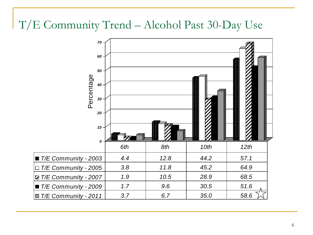#### T/E Community Trend – Alcohol Past 30-Day Use

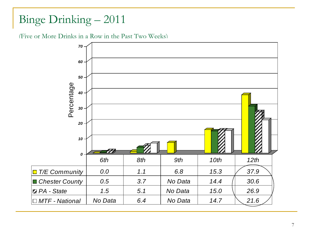### Binge Drinking – 2011

(Five or More Drinks in a Row in the Past Two Weeks)

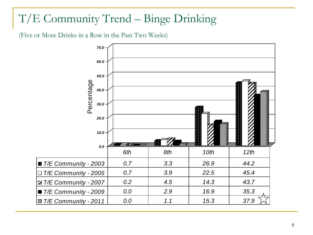### T/E Community Trend – Binge Drinking

(Five or More Drinks in a Row in the Past Two Weeks)

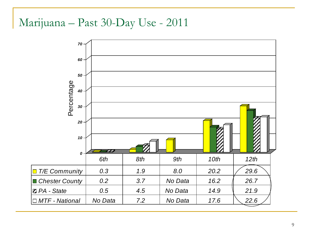#### Marijuana – Past 30-Day Use - 2011

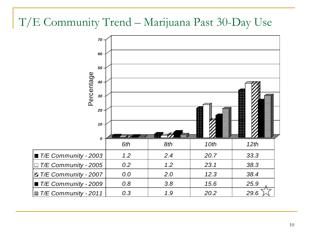#### T/E Community Trend – Marijuana Past 30-Day Use

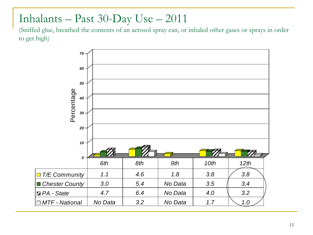#### Inhalants – Past 30-Day Use – 2011

(Sniffed glue, breathed the contents of an aerosol spray can, or inhaled other gases or sprays in order to get high)

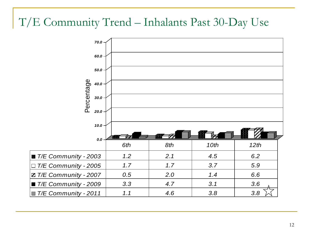### T/E Community Trend – Inhalants Past 30-Day Use

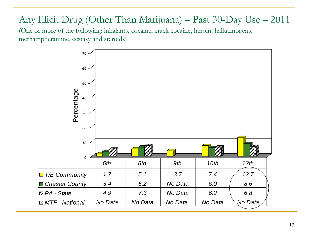#### Any Illicit Drug (Other Than Marijuana) – Past 30-Day Use – 2011

(One or more of the following: inhalants, cocaine, crack cocaine, heroin, hallucinogens, methamphetamine, ecstasy and steroids)

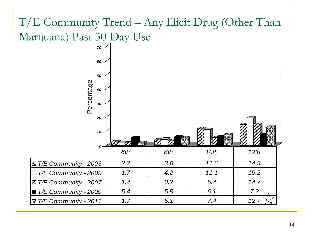### T/E Community Trend – Any Illicit Drug (Other Than Marijuana) Past 30-Day Use

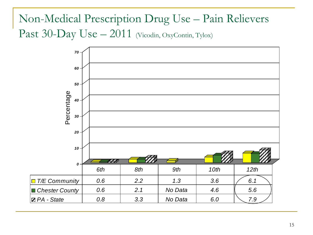### Non-Medical Prescription Drug Use – Pain Relievers Past 30-Day Use - 2011 (Vicodin, OxyContin, Tylox)

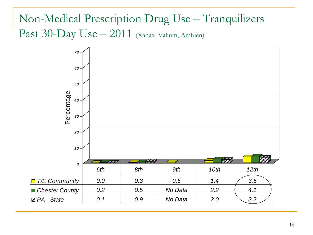### Non-Medical Prescription Drug Use – Tranquilizers Past 30-Day Use - 2011 (Xanax, Valium, Ambien)

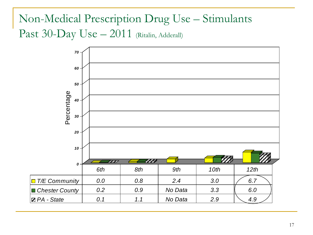### Non-Medical Prescription Drug Use – Stimulants Past 30-Day Use - 2011 (Ritalin, Adderall)

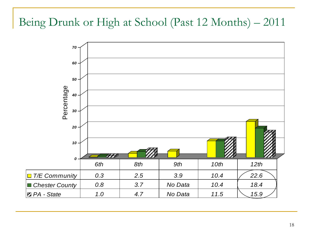#### Being Drunk or High at School (Past 12 Months) – 2011

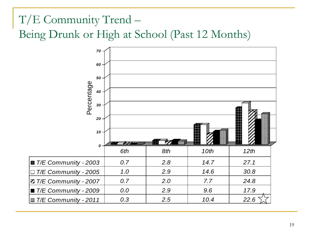# T/E Community Trend – Being Drunk or High at School (Past 12 Months)

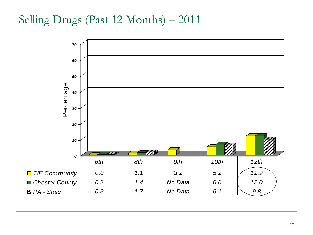### Selling Drugs (Past 12 Months) – 2011

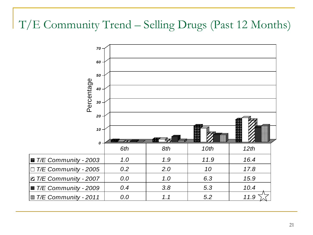### T/E Community Trend – Selling Drugs (Past 12 Months)

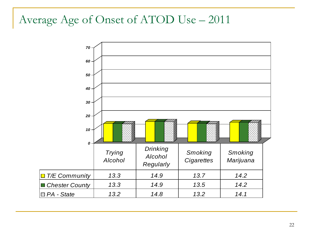#### Average Age of Onset of ATOD Use – 2011

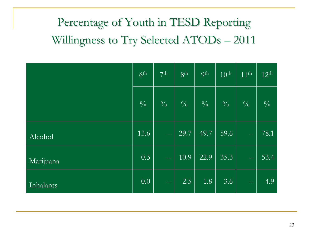# Percentage of Youth in TESD Reporting Willingness to Try Selected ATODs – 2011

|           | 6 <sup>th</sup> | 7 <sup>th</sup>          | 8 <sup>th</sup> | <b>9th</b>    | 10 <sup>th</sup> | $11^{\text{th}}$ | $12^{th}$     |
|-----------|-----------------|--------------------------|-----------------|---------------|------------------|------------------|---------------|
|           | $\frac{0}{0}$   | $\frac{0}{0}$            | $\frac{0}{0}$   | $\frac{0}{0}$ | $\frac{0}{0}$    | $\frac{0}{0}$    | $\frac{0}{0}$ |
| Alcohol   | 13.6            | $\overline{\phantom{a}}$ | $\sqrt{29.7}$   | 49.7          | 59.6             |                  | 78.1          |
| Marijuana | 0.3             | $\perp$                  | 10.9            | 22.9          | 35.3             | $-$              | 53.4          |
| Inhalants | 0.0             | $- -$                    | 2.5             | 1.8           | 3.6              | $--$             | 4.9           |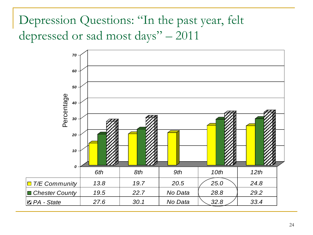Depression Questions: "In the past year, felt depressed or sad most days" – 2011

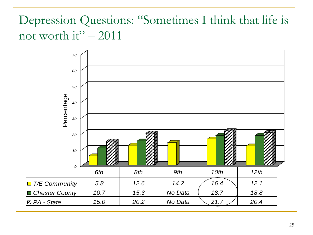# Depression Questions: "Sometimes I think that life is not worth it" – 2011

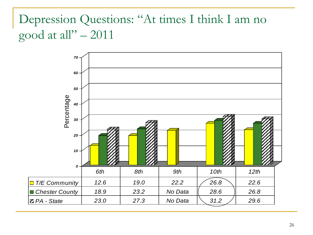# Depression Questions: "At times I think I am no good at all" $-2011$

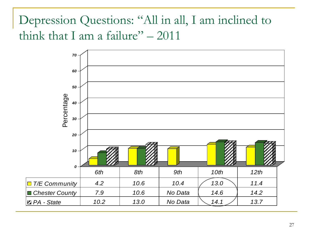Depression Questions: "All in all, I am inclined to think that I am a failure"  $-2011$ 

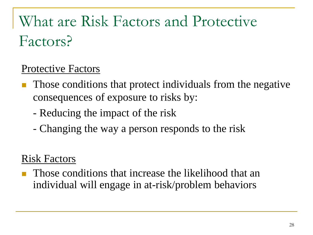# What are Risk Factors and Protective Factors?

#### Protective Factors

- Those conditions that protect individuals from the negative consequences of exposure to risks by:
	- Reducing the impact of the risk
	- Changing the way a person responds to the risk

#### Risk Factors

 Those conditions that increase the likelihood that an individual will engage in at-risk/problem behaviors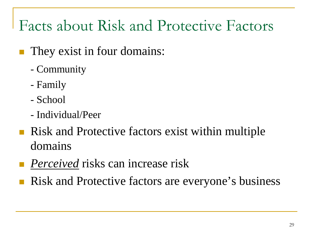# Facts about Risk and Protective Factors

- They exist in four domains:
	- Community
	- Family
	- School
	- Individual/Peer
- **Risk and Protective factors exist within multiple** domains
- *Perceived* risks can increase risk
- Risk and Protective factors are everyone's business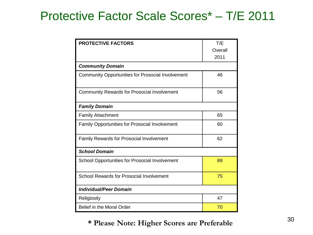### Protective Factor Scale Scores\* – T/E 2011

| <b>PROTECTIVE FACTORS</b>                                | T/E     |  |  |  |  |
|----------------------------------------------------------|---------|--|--|--|--|
|                                                          | Overall |  |  |  |  |
|                                                          | 2011    |  |  |  |  |
| <b>Community Domain</b>                                  |         |  |  |  |  |
| <b>Community Opportunities for Prosocial Involvement</b> | 46      |  |  |  |  |
| <b>Community Rewards for Prosocial Involvement</b>       | 56      |  |  |  |  |
| <b>Family Domain</b>                                     |         |  |  |  |  |
| <b>Family Attachment</b>                                 | 65      |  |  |  |  |
| <b>Family Opportunities for Prosocial Involvement</b>    | 60      |  |  |  |  |
| <b>Family Rewards for Prosocial Involvement</b>          | 62      |  |  |  |  |
| <b>School Domain</b>                                     |         |  |  |  |  |
| School Opportunities for Prosocial Involvement           | 69      |  |  |  |  |
| School Rewards for Prosocial Involvement                 | 75      |  |  |  |  |
| <b>Individual/Peer Domain</b>                            |         |  |  |  |  |
| Religiosity                                              | 47      |  |  |  |  |
| Belief in the Moral Order                                | 70      |  |  |  |  |

#### **\* Please Note: Higher Scores are Preferable**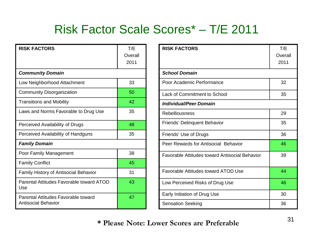# Risk Factor Scale Scores\* – T/E 2011

| <b>RISK FACTORS</b>                                        | T/E<br>Overall<br>2011 |  |  |  |  |
|------------------------------------------------------------|------------------------|--|--|--|--|
| <b>Community Domain</b>                                    |                        |  |  |  |  |
| Low Neighborhood Attachment                                | 33                     |  |  |  |  |
| <b>Community Disorganization</b>                           | 50                     |  |  |  |  |
| <b>Transitions and Mobility</b>                            | 42                     |  |  |  |  |
| Laws and Norms Favorable to Drug Use                       | 35                     |  |  |  |  |
| Perceived Availability of Drugs                            | 48                     |  |  |  |  |
| Perceived Availability of Handguns                         | 35                     |  |  |  |  |
| <b>Family Domain</b>                                       |                        |  |  |  |  |
| Poor Family Management                                     | 38                     |  |  |  |  |
| <b>Family Conflict</b>                                     | 45                     |  |  |  |  |
| <b>Family History of Antisocial Behavior</b>               | 31                     |  |  |  |  |
| Parental Attitudes Favorable toward ATOD<br>Use            | 43                     |  |  |  |  |
| Parental Attitudes Favorable toward<br>Antisocial Behavior | 47                     |  |  |  |  |

| <b>RISK FACTORS</b>                            | T/E     |  |  |  |
|------------------------------------------------|---------|--|--|--|
|                                                | Overall |  |  |  |
|                                                | 2011    |  |  |  |
| <b>School Domain</b>                           |         |  |  |  |
| Poor Academic Performance                      | 32      |  |  |  |
| <b>Lack of Commitment to School</b>            | 35      |  |  |  |
| Individual/Peer Domain                         |         |  |  |  |
| <b>Rebelliousness</b>                          | 29      |  |  |  |
| <b>Friends' Delinquent Behavior</b>            | 35      |  |  |  |
| Friends' Use of Drugs                          | 36      |  |  |  |
| Peer Rewards for Antisocial Behavior           | 46      |  |  |  |
| Favorable Attitudes toward Antisocial Behavior | 39      |  |  |  |
| Favorable Attitudes toward ATOD Use            | 44      |  |  |  |
| Low Perceived Risks of Drug Use                | 46      |  |  |  |
| Early Initiation of Drug Use                   | 30      |  |  |  |
| <b>Sensation Seeking</b>                       | 36      |  |  |  |

**\* Please Note: Lower Scores are Preferable**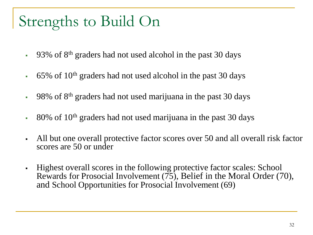# Strengths to Build On

- $-93\%$  of  $8<sup>th</sup>$  graders had not used alcohol in the past 30 days
- $\cdot$  65% of 10<sup>th</sup> graders had not used alcohol in the past 30 days
- 98% of  $8<sup>th</sup>$  graders had not used marijuana in the past 30 days
- $\cdot$  80% of 10<sup>th</sup> graders had not used marijuana in the past 30 days
- All but one overall protective factor scores over 50 and all overall risk factor scores are 50 or under
- Highest overall scores in the following protective factor scales: School Rewards for Prosocial Involvement  $(75)$ , Belief in the Moral Order (70), and School Opportunities for Prosocial Involvement (69)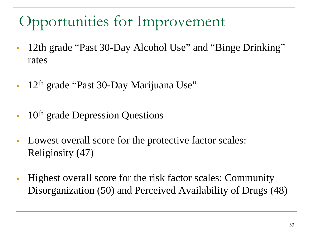# Opportunities for Improvement

- 12th grade "Past 30-Day Alcohol Use" and "Binge Drinking" rates
- 12th grade "Past 30-Day Marijuana Use"
- $10<sup>th</sup>$  grade Depression Questions
- Lowest overall score for the protective factor scales: Religiosity (47)
- Highest overall score for the risk factor scales: Community Disorganization (50) and Perceived Availability of Drugs (48)